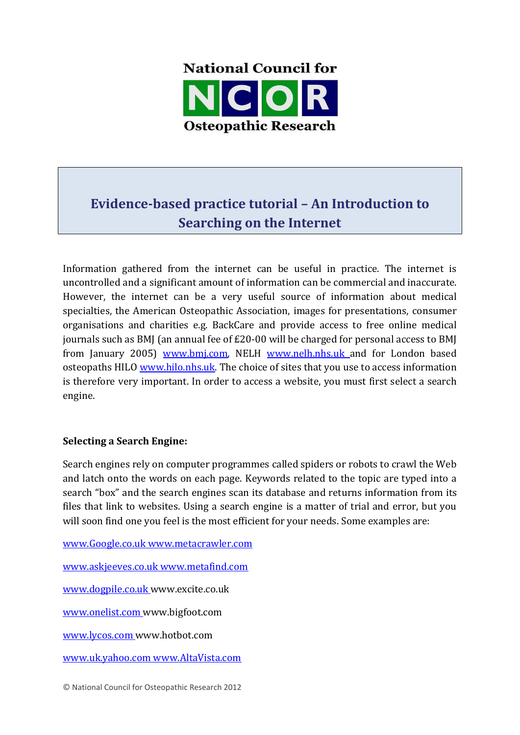

# **Evidence-based practice tutorial – An Introduction to Searching on the Internet**

Information gathered from the internet can be useful in practice. The internet is uncontrolled and a significant amount of information can be commercial and inaccurate. However, the internet can be a very useful source of information about medical specialties, the American Osteopathic Association, images for presentations, consumer organisations and charities e.g. BackCare and provide access to free online medical journals such as BMJ (an annual fee of £20-00 will be charged for personal access to BMJ from January 2005) www.bmj.com, NELH www.nelh.nhs.uk and for London based osteopaths HILO www.hilo.nhs.uk. The choice of sites that you use to access information is therefore very important. In order to access a website, you must first select a search engine.

# **Selecting a Search Engine:**

Search engines rely on computer programmes called spiders or robots to crawl the Web and latch onto the words on each page. Keywords related to the topic are typed into a search "box" and the search engines scan its database and returns information from its files that link to websites. Using a search engine is a matter of trial and error, but you will soon find one you feel is the most efficient for your needs. Some examples are:

www.Google.co.uk www.metacrawler.com

www.askjeeves.co.uk www.metafind.com

www.dogpile.co.uk www.excite.co.uk

www.onelist.com www.bigfoot.com

www.lycos.com www.hotbot.com

www.uk.yahoo.com www.AltaVista.com

© National Council for Osteopathic Research 2012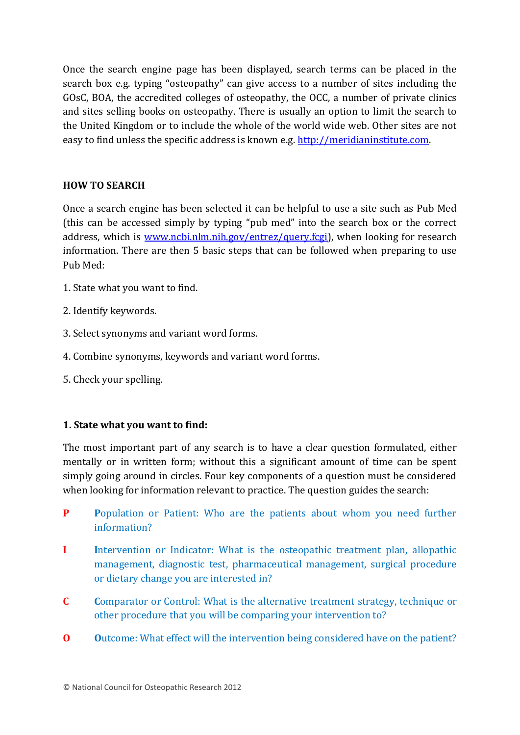Once the search engine page has been displayed, search terms can be placed in the search box e.g. typing "osteopathy" can give access to a number of sites including the GOsC, BOA, the accredited colleges of osteopathy, the OCC, a number of private clinics and sites selling books on osteopathy. There is usually an option to limit the search to the United Kingdom or to include the whole of the world wide web. Other sites are not easy to find unless the specific address is known e.g. http://meridianinstitute.com.

# **HOW TO SEARCH**

Once a search engine has been selected it can be helpful to use a site such as Pub Med (this can be accessed simply by typing "pub med" into the search box or the correct address, which is www.ncbi.nlm.nih.gov/entrez/query.fcgi), when looking for research information. There are then 5 basic steps that can be followed when preparing to use Pub Med:

- 1. State what you want to find.
- 2. Identify keywords.
- 3. Select synonyms and variant word forms.
- 4. Combine synonyms, keywords and variant word forms.
- 5. Check your spelling.

## **1. State what you want to find:**

The most important part of any search is to have a clear question formulated, either mentally or in written form; without this a significant amount of time can be spent simply going around in circles. Four key components of a question must be considered when looking for information relevant to practice. The question guides the search:

- **P Population or Patient: Who are the patients about whom you need further** information?
- **I I**ntervention or Indicator: What is the osteopathic treatment plan, allopathic management, diagnostic test, pharmaceutical management, surgical procedure or dietary change you are interested in?
- **C C**omparator or Control: What is the alternative treatment strategy, technique or other procedure that you will be comparing your intervention to?
- **O Outcome:** What effect will the intervention being considered have on the patient?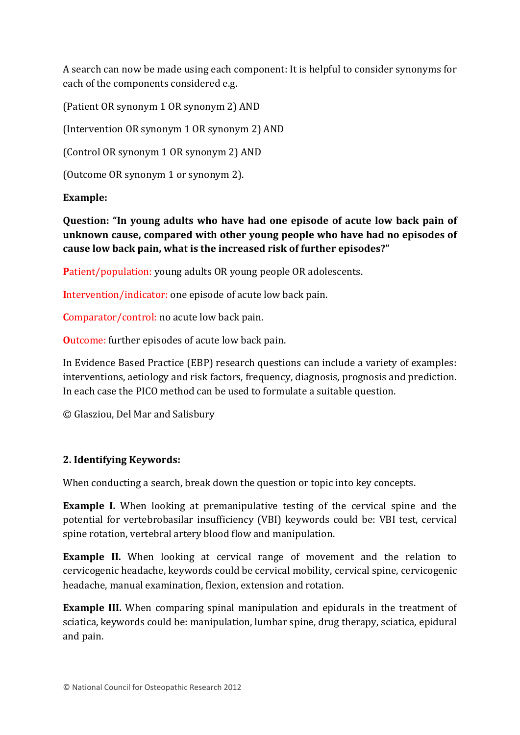A search can now be made using each component: It is helpful to consider synonyms for each of the components considered e.g.

(Patient OR synonym 1 OR synonym 2) AND

(Intervention OR synonym 1 OR synonym 2) AND

(Control OR synonym 1 OR synonym 2) AND

(Outcome OR synonym 1 or synonym 2).

# **Example:**

**Question: "In young adults who have had one episode of acute low back pain of unknown cause, compared with other young people who have had no episodes of cause low back pain, what is the increased risk of further episodes?"** 

**Patient/population:** young adults OR young people OR adolescents.

**I**ntervention/indicator: one episode of acute low back pain.

**Comparator/control:** no acute low back pain.

**Outcome:** further episodes of acute low back pain.

In Evidence Based Practice (EBP) research questions can include a variety of examples: interventions, aetiology and risk factors, frequency, diagnosis, prognosis and prediction. In each case the PICO method can be used to formulate a suitable question.

© Glasziou, Del Mar and Salisbury

# **2. Identifying Keywords:**

When conducting a search, break down the question or topic into key concepts.

**Example I.** When looking at premanipulative testing of the cervical spine and the potential for vertebrobasilar insufficiency (VBI) keywords could be: VBI test, cervical spine rotation, vertebral artery blood flow and manipulation.

**Example II.** When looking at cervical range of movement and the relation to cervicogenic headache, keywords could be cervical mobility, cervical spine, cervicogenic headache, manual examination, flexion, extension and rotation.

**Example III.** When comparing spinal manipulation and epidurals in the treatment of sciatica, keywords could be: manipulation, lumbar spine, drug therapy, sciatica, epidural and pain.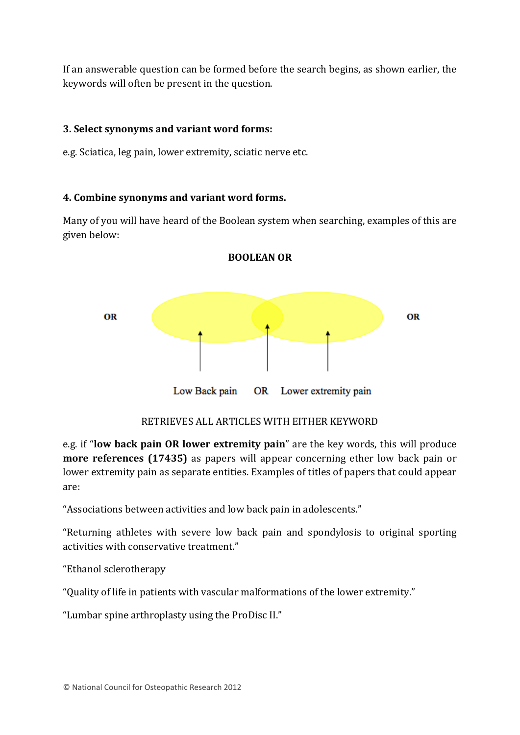If an answerable question can be formed before the search begins, as shown earlier, the keywords will often be present in the question.

## **3. Select synonyms and variant word forms:**

e.g. Sciatica, leg pain, lower extremity, sciatic nerve etc.

## **4. Combine synonyms and variant word forms.**

Many of you will have heard of the Boolean system when searching, examples of this are given below:

**BOOLEAN OR**



RETRIEVES ALL ARTICLES WITH EITHER KEYWORD

e.g. if "**low back pain OR lower extremity pain**" are the key words, this will produce **more references (17435)** as papers will appear concerning ether low back pain or lower extremity pain as separate entities. Examples of titles of papers that could appear are:

"Associations between activities and low back pain in adolescents."

"Returning athletes with severe low back pain and spondylosis to original sporting activities with conservative treatment."

"Ethanol sclerotherapy

"Quality of life in patients with vascular malformations of the lower extremity."

"Lumbar spine arthroplasty using the ProDisc II."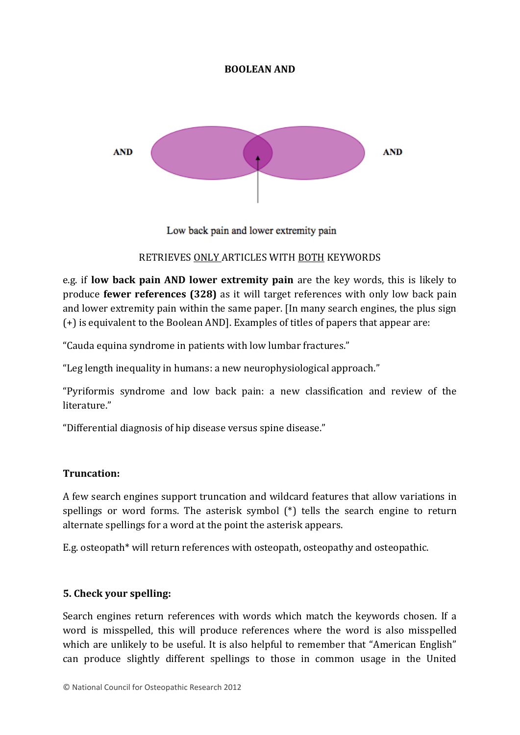## **BOOLEAN AND**



Low back pain and lower extremity pain

## RETRIEVES ONLY ARTICLES WITH BOTH KEYWORDS

e.g. if **low back pain AND lower extremity pain** are the key words, this is likely to produce **fewer references (328)** as it will target references with only low back pain and lower extremity pain within the same paper. [In many search engines, the plus sign (+) is equivalent to the Boolean AND]. Examples of titles of papers that appear are:

"Cauda equina syndrome in patients with low lumbar fractures."

"Leg length inequality in humans: a new neurophysiological approach."

"Pyriformis syndrome and low back pain: a new classification and review of the literature"

"Differential diagnosis of hip disease versus spine disease."

## **Truncation:**

A few search engines support truncation and wildcard features that allow variations in spellings or word forms. The asterisk symbol (\*) tells the search engine to return alternate spellings for a word at the point the asterisk appears.

E.g. osteopath\* will return references with osteopath, osteopathy and osteopathic.

## **5. Check your spelling:**

Search engines return references with words which match the keywords chosen. If a word is misspelled, this will produce references where the word is also misspelled which are unlikely to be useful. It is also helpful to remember that "American English" can produce slightly different spellings to those in common usage in the United